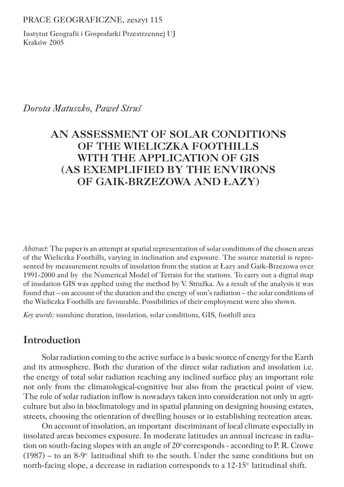PRACE GEOGRAFICZNE, zeszyt 115

Instytut Geografii i Gospodarki Przestrzennej UJ Kraków 2005

#### *Dorota Matuszko, Paweł Struś*

# **AN ASSESSMENT OF SOLAR CONDITIONS OF THE WIELICZKA FOOTHILLS WITH THE APPLICATION OF GIS (AS EXEMPLIFIED BY THE ENVIRONS OF GAIK-BRZEZOWA AND ŁAZY)**

*Abstract*: The paper is an attempt at spatial representation of solar conditions of the chosen areas of the Wieliczka Foothills, varying in inclination and exposure. The source material is represented by measurement results of insolation from the station at Łazy and Gaik-Brzezowa over 1991-2000 and by the Numerical Model of Terrain for the stations. To carry out a digital map of insolation GIS was applied using the method by V. Stružka. As a result of the analysis it was found that – on account of the duration and the energy of sun's radiation – the solar conditions of the Wieliczka Foothills are favourable. Possibilities of their employment were also shown.

*Key words:* sunshine duration, insolation, solar conditions, GIS, foothill area

# **Introduction**

Solar radiation coming to the active surface is a basic source of energy for the Earth and its atmosphere. Both the duration of the direct solar radiation and insolation i.e. the energy of total solar radiation reaching any inclined surface play an important role not only from the climatological-cognitive but also from the practical point of view. The role of solar radiation inflow is nowadays taken into consideration not only in agriculture but also in bioclimatology and in spatial planning on designing housing estates, streets, choosing the orientation of dwelling houses or in establishing recreation areas.

On account of insolation, an important discriminant of local climate especially in insolated areas becomes exposure. In moderate latitudes an annual increase in radiation on south-facing slopes with an angle of  $20^{\circ}$  corresponds - according to P. R. Crowe  $(1987)$  – to an 8-9<sup>o</sup> latitudinal shift to the south. Under the same conditions but on north-facing slope, a decrease in radiation corresponds to a  $12{\text -}15^{\circ}$  latitudinal shift.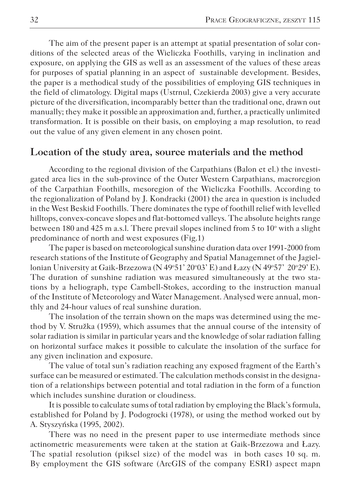The aim of the present paper is an attempt at spatial presentation of solar conditions of the selected areas of the Wieliczka Foothills, varying in inclination and exposure, on applying the GIS as well as an assessment of the values of these areas for purposes of spatial planning in an aspect of sustainable development. Besides, the paper is a methodical study of the possibilities of employing GIS techniques in the field of climatology. Digital maps (Ustrnul, Czekierda 2003) give a very accurate picture of the diversification, incomparably better than the traditional one, drawn out manually; they make it possible an approximation and, further, a practically unlimited transformation. It is possible on their basis, on employing a map resolution, to read out the value of any given element in any chosen point.

### **Location of the study area, source materials and the method**

According to the regional division of the Carpathians (Balon et el.) the investigated area lies in the sub-province of the Outer Western Carpathians, macroregion of the Carpathian Foothills, mesoregion of the Wieliczka Foothills. According to the regionalization of Poland by J. Kondracki (2001) the area in question is included in the West Beskid Foothills. There dominates the type of foothill relief with levelled hilltops, convex-concave slopes and flat-bottomed valleys. The absolute heights range between 180 and 425 m a.s.l. There prevail slopes inclined from 5 to  $10^{\circ}$  with a slight predominance of north and west exposures (Fig.1)

The paper is based on meteorological sunshine duration data over 1991-2000 from research stations of the Institute of Geography and Spatial Managemnet of the Jagiellonian University at Gaik-Brzezowa (N 49°51' 20°03' E) and Łazy (N 49°57' 20°29' E). The duration of sunshine radiation was measured simultaneously at the two stations by a heliograph, type Cambell-Stokes, according to the instruction manual of the Institute of Meteorology and Water Management. Analysed were annual, monthly and 24-hour values of real sunshine duration.

The insolation of the terrain shown on the maps was determined using the method by V. Stružka (1959), which assumes that the annual course of the intensity of solar radiation is similar in particular years and the knowledge of solar radiation falling on horizontal surface makes it possible to calculate the insolation of the surface for any given inclination and exposure.

The value of total sun's radiation reaching any exposed fragment of the Earth's surface can be measured or estimated. The calculation methods consist in the designation of a relationships between potential and total radiation in the form of a function which includes sunshine duration or cloudiness.

It is possible to calculate sums of total radiation by employing the Black's formula, established for Poland by J. Podogrocki (1978), or using the method worked out by A. Styszyńska (1995, 2002).

There was no need in the present paper to use intermediate methods since actinometric measurements were taken at the station at Gaik-Brzezowa and Łazy. The spatial resolution (piksel size) of the model was in both cases 10 sq. m. By employment the GIS software (ArcGIS of the company ESRI) aspect mapn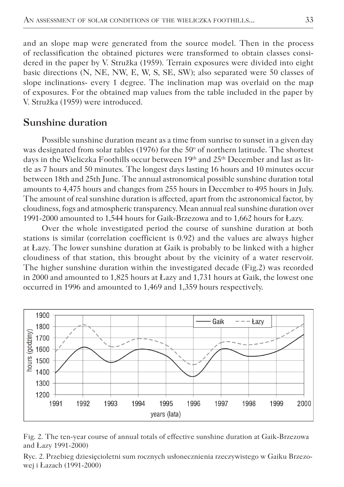and an slope map were generated from the source model. Then in the process of reclassification the obtained pictures were transformed to obtain classes considered in the paper by V. Stružka (1959). Terrain exposures were divided into eight basic directions (N, NE, NW, E, W, S, SE, SW); also separated were 50 classes of slope inclinations- every 1 degree. The inclination map was overlaid on the map of exposures. For the obtained map values from the table included in the paper by V. Stružka (1959) were introduced.

### **Sunshine duration**

Possible sunshine duration meant as a time from sunrise to sunset in a given day was designated from solar tables (1976) for the  $50^{\circ}$  of northern latitude. The shortest days in the Wieliczka Foothills occur between 19<sup>th</sup> and 25<sup>th</sup> December and last as little as 7 hours and 50 minutes. The longest days lasting 16 hours and 10 minutes occur between 18th and 25th June. The annual astronomical possible sunshine duration total amounts to 4,475 hours and changes from 255 hours in December to 495 hours in July. The amount of real sunshine duration is affected, apart from the astronomical factor, by cloudiness, fogs and atmospheric transparency. Mean annual real sunshine duration over 1991-2000 amounted to 1,544 hours for Gaik-Brzezowa and to 1,662 hours for Łazy.

Over the whole investigated period the course of sunshine duration at both stations is similar (correlation coefficient is 0.92) and the values are always higher at Łazy. The lower sunshine duration at Gaik is probably to be linked with a higher cloudiness of that station, this brought about by the vicinity of a water reservoir. The higher sunshine duration within the investigated decade (Fig.2) was recorded in 2000 and amounted to 1,825 hours at Łazy and 1,731 hours at Gaik, the lowest one occurred in 1996 and amounted to 1,469 and 1,359 hours respectively.



Fig. 2. The ten-year course of annual totals of effective sunshine duration at Gaik-Brzezowa and Łazy 1991-2000)

Ryc. 2. Przebieg dziesięcioletni sum rocznych usłonecznienia rzeczywistego w Gaiku Brzezowej i Łazach (1991-2000)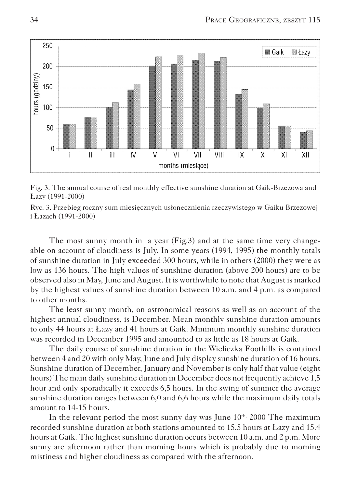

Fig. 3. The annual course of real monthly effective sunshine duration at Gaik-Brzezowa and Łazy (1991-2000)

Ryc. 3. Przebieg roczny sum miesięcznych usłonecznienia rzeczywistego w Gaiku Brzezowej i Łazach (1991-2000)

The most sunny month in a year (Fig.3) and at the same time very changeable on account of cloudiness is July. In some years (1994, 1995) the monthly totals of sunshine duration in July exceeded 300 hours, while in others (2000) they were as low as 136 hours. The high values of sunshine duration (above 200 hours) are to be observed also in May, June and August. It is worthwhile to note that August is marked by the highest values of sunshine duration between 10 a.m. and 4 p.m. as compared to other months.

The least sunny month, on astronomical reasons as well as on account of the highest annual cloudiness, is December. Mean monthly sunshine duration amounts to only 44 hours at Łazy and 41 hours at Gaik. Minimum monthly sunshine duration was recorded in December 1995 and amounted to as little as 18 hours at Gaik.

The daily course of sunshine duration in the Wieliczka Foothills is contained between 4 and 20 with only May, June and July display sunshine duration of 16 hours. Sunshine duration of December, January and November is only half that value (eight hours) The main daily sunshine duration in December does not frequently achieve 1,5 hour and only sporadically it exceeds 6,5 hours. In the swing of summer the average sunshine duration ranges between 6,0 and 6,6 hours while the maximum daily totals amount to 14-15 hours.

In the relevant period the most sunny day was June  $10<sup>th</sup>$ , 2000 The maximum recorded sunshine duration at both stations amounted to 15.5 hours at Łazy and 15.4 hours at Gaik. The highest sunshine duration occurs between 10 a.m. and 2 p.m. More sunny are afternoon rather than morning hours which is probably due to morning mistiness and higher cloudiness as compared with the afternoon.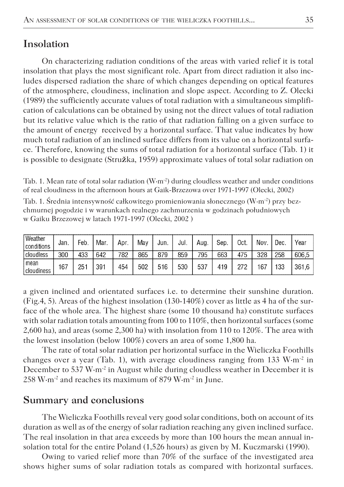## **Insolation**

On characterizing radiation conditions of the areas with varied relief it is total insolation that plays the most significant role. Apart from direct radiation it also includes dispersed radiation the share of which changes depending on optical features of the atmosphere, cloudiness, inclination and slope aspect. According to Z. Olecki (1989) the sufficiently accurate values of total radiation with a simultaneous simplification of calculations can be obtained by using not the direct values of total radiation but its relative value which is the ratio of that radiation falling on a given surface to the amount of energy received by a horizontal surface. That value indicates by how much total radiation of an inclined surface differs from its value on a horizontal surface. Therefore, knowing the sums of total radiation for a horizontal surface (Tab. 1) it is possible to designate (Stru**ž**ka, 1959) approximate values of total solar radiation on

Tab. 1. Mean rate of total solar radiation  $(W·m<sup>-2</sup>)$  during cloudless weather and under conditions of real cloudiness in the afternoon hours at Gaik-Brzezowa over 1971-1997 (Olecki, 2002)

Tab. 1. Średnia intensywność całkowitego promieniowania słonecznego (W·m-2) przy bezchmurnej pogodzie i w warunkach realnego zachmurzenia w godzinach południowych w Gaiku Brzezowej w latach 1971-1997 (Olecki, 2002 )

| Weather<br>l conditions | Jan. | Feb. | Mar. | Apr. | Mav | Jun. | Jul. | Aug. | Sep. | Oct. | Nov. | Dec. | Year  |
|-------------------------|------|------|------|------|-----|------|------|------|------|------|------|------|-------|
| cloudless               | 300  | 433  | 642  | 782  | 865 | 879  | 859  | 795  | 663  | 475  | 328  | 258  | 606.5 |
| mean<br>cloudiness      | 167  | 251  | 391  | 454  | 502 | 516  | 530  | 537  | 419  | 272  | 167  | 133  | 361.6 |

a given inclined and orientated surfaces i.e. to determine their sunshine duration. (Fig.4, 5). Areas of the highest insolation (130-140%) cover as little as 4 ha of the surface of the whole area. The highest share (some 10 thousand ha) constitute surfaces with solar radiation totals amounting from 100 to 110%, then horizontal surfaces (some 2,600 ha), and areas (some 2,300 ha) with insolation from 110 to 120%. The area with the lowest insolation (below 100%) covers an area of some 1,800 ha.

The rate of total solar radiation per horizontal surface in the Wieliczka Foothills changes over a year (Tab. 1), with average cloudiness ranging from 133  $W·m<sup>-2</sup>$  in December to 537 W $\cdot$ m<sup>-2</sup> in August while during cloudless weather in December it is 258 W·m-2 and reaches its maximum of 879 W·m-2 in June.

### **Summary and conclusions**

The Wieliczka Foothills reveal very good solar conditions, both on account of its duration as well as of the energy of solar radiation reaching any given inclined surface. The real insolation in that area exceeds by more than 100 hours the mean annual insolation total for the entire Poland (1,526 hours) as given by M. Kuczmarski (1990).

Owing to varied relief more than 70% of the surface of the investigated area shows higher sums of solar radiation totals as compared with horizontal surfaces.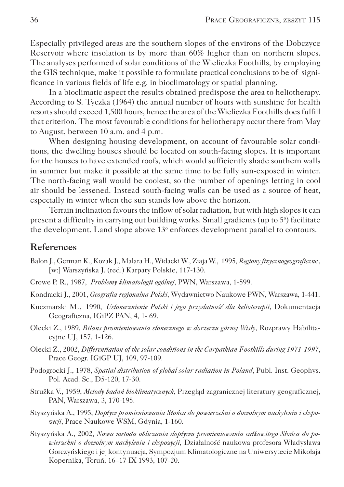Especially privileged areas are the southern slopes of the environs of the Dobczyce Reservoir where insolation is by more than 60% higher than on northern slopes. The analyses performed of solar conditions of the Wieliczka Foothills, by employing the GIS technique, make it possible to formulate practical conclusions to be of significance in various fields of life e.g. in bioclimatology or spatial planning.

In a bioclimatic aspect the results obtained predispose the area to heliotherapy. According to S. Tyczka (1964) the annual number of hours with sunshine for health resorts should exceed 1,500 hours, hence the area of the Wieliczka Foothills does fulfill that criterion. The most favourable conditions for heliotherapy occur there from May to August, between 10 a.m. and 4 p.m.

When designing housing development, on account of favourable solar conditions, the dwelling houses should be located on south-facing slopes. It is important for the houses to have extended roofs, which would sufficiently shade southern walls in summer but make it possible at the same time to be fully sun-exposed in winter. The north-facing wall would be coolest, so the number of openings letting in cool air should be lessened. Instead south-facing walls can be used as a source of heat, especially in winter when the sun stands low above the horizon.

Terrain inclination favours the inflow of solar radiation, but with high slopes it can present a difficulty in carrying out building works. Small gradients (up to 5°) facilitate the development. Land slope above 13<sup>°</sup> enforces development parallel to contours.

#### **References**

- Balon J., German K., Kozak J., Malara H., Widacki W., Ziaja W., 1995, *Regiony fizycznogeograficzn*e, [w:] Warszyńska J. (red.) Karpaty Polskie, 117-130.
- Crowe P. R., 1987, *Problemy klimatologii ogólnej*, PWN, Warszawa, 1-599.
- Kondracki J., 2001, *Geografia regionalna Polski*, Wydawnictwo Naukowe PWN, Warszawa, 1-441.
- Kuczmarski M., 1990, *Usłonecznienie Polski i jego przydatność dla helioterapii*, Dokumentacja Geograficzna, IGiPZ PAN, 4, 1- 69.
- Olecki Z., 1989, *Bilans promieniowania słonecznego w dorzeczu górnej Wisły*, Rozprawy Habilitacyjne UJ, 157, 1-126.
- Olecki Z., 2002, *Differentiation of the solar conditions in the Carpathian Foothills during 1971-1997*, Prace Geogr. IGiGP UJ, 109, 97-109.
- Podogrocki J., 1978, *Spatial distribution of global solar radiation in Poland*, Publ. Inst. Geophys. Pol. Acad. Sc., D5-120, 17-30.
- Stružka V., 1959, *Metody badań bioklimatycznych*, Przegląd zagranicznej literatury geograficznej, PAN, Warszawa, 3, 170-195.
- Styszyńska A., 1995, *Dopływ promieniowania Słońca do powierzchni o dowolnym nachyleniu i ekspozycji*, Prace Naukowe WSM, Gdynia, 1-160.
- Styszyńska A., 2002, *Nowa metoda obliczania dopływu promieniowania całkowitego Słońca do powierzchni o dowolnym nachyleniu i ekspozycji,* Działalność naukowa profesora Władysława Gorczyńskiego i jej kontynuacja, Sympozjum Klimatologiczne na Uniwersytecie Mikołaja Kopernika, Toruń, 16–17 IX 1993, 107-20.